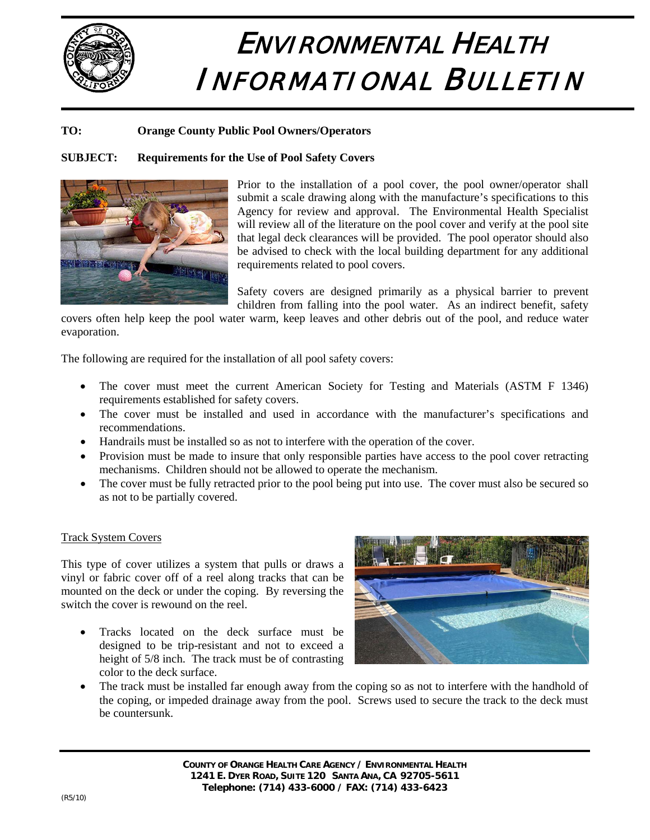

# ENVIRONMENTAL HEALTH INFORMATIONAL BULLETIN

### **TO: Orange County Public Pool Owners/Operators**

## **SUBJECT: Requirements for the Use of Pool Safety Covers**



Prior to the installation of a pool cover, the pool owner/operator shall submit a scale drawing along with the manufacture's specifications to this Agency for review and approval. The Environmental Health Specialist will review all of the literature on the pool cover and verify at the pool site that legal deck clearances will be provided. The pool operator should also be advised to check with the local building department for any additional requirements related to pool covers.

Safety covers are designed primarily as a physical barrier to prevent children from falling into the pool water. As an indirect benefit, safety

covers often help keep the pool water warm, keep leaves and other debris out of the pool, and reduce water evaporation.

The following are required for the installation of all pool safety covers:

- The cover must meet the current American Society for Testing and Materials (ASTM F 1346) requirements established for safety covers.
- The cover must be installed and used in accordance with the manufacturer's specifications and recommendations.
- Handrails must be installed so as not to interfere with the operation of the cover.
- Provision must be made to insure that only responsible parties have access to the pool cover retracting mechanisms. Children should not be allowed to operate the mechanism.
- The cover must be fully retracted prior to the pool being put into use. The cover must also be secured so as not to be partially covered.

#### Track System Covers

This type of cover utilizes a system that pulls or draws a vinyl or fabric cover off of a reel along tracks that can be mounted on the deck or under the coping. By reversing the switch the cover is rewound on the reel.

• Tracks located on the deck surface must be designed to be trip-resistant and not to exceed a height of 5/8 inch. The track must be of contrasting color to the deck surface.



The track must be installed far enough away from the coping so as not to interfere with the handhold of the coping, or impeded drainage away from the pool. Screws used to secure the track to the deck must be countersunk.

> **COUNTY OF ORANGE HEALTH CARE AGENCY / ENVIRONMENTAL HEALTH 1241 E. DYER ROAD, SUITE 120 SANTA ANA, CA 92705-5611 Telephone: (714) 433-6000 / FAX: (714) 433-6423**